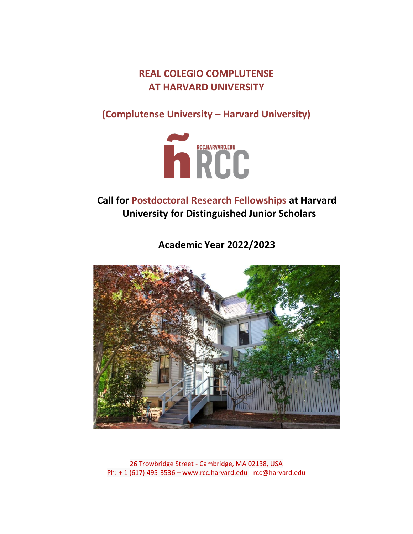**REAL COLEGIO COMPLUTENSE AT HARVARD UNIVERSITY**

**(Complutense University – Harvard University)**



**Call for Postdoctoral Research Fellowships at Harvard University for Distinguished Junior Scholars**

**Academic Year 2022/2023**



26 Trowbridge Street - Cambridge, MA 02138, USA Ph: + 1 (617) 495-3536 – www.rcc.harvard.edu - rcc@harvard.edu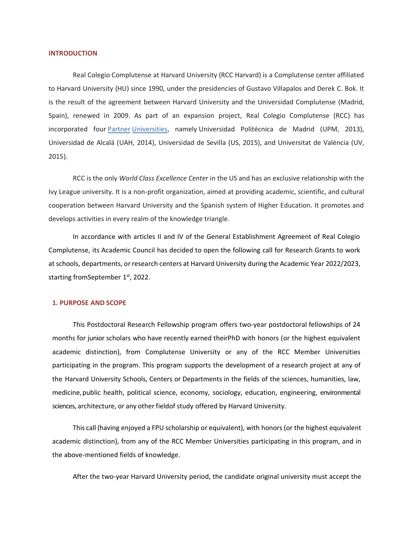#### **INTRODUCTION**

Real Colegio Complutense at Harvard University (RCC Harvard) is a Complutense center affiliated to Harvard University (HU) since 1990, under the presidencies of Gustavo Villapalos and Derek C. Bok. It is the result of the agreement between Harvard University and the Universidad Complutense (Madrid, Spain), renewed in 2009. As part of an expansion project, Real Colegio Complutense (RCC) has incorporated four [Partner](http://hwpi.harvard.edu/rcc/partner-universities) [Universities,](http://hwpi.harvard.edu/rcc/partner-universities) namely Universidad Politécnica de Madrid (UPM, 2013), Universidad de Alcalá (UAH, 2014), Universidad de Sevilla (US, 2015), and Universitat de València (UV, 2015).

RCC is the only *World Class Excellence Center* in the US and has an exclusive relationship with the Ivy League university. It is a non-profit organization, aimed at providing academic, scientific, and cultural cooperation between Harvard University and the Spanish system of Higher Education. It promotes and develops activities in every realm of the knowledge triangle.

In accordance with articles II and IV of the General Establishment Agreement of Real Colegio Complutense, its Academic Council has decided to open the following call for Research Grants to work at schools, departments, orresearch centers at Harvard University during the Academic Year 2022/2023, starting from September 1<sup>st</sup>, 2022.

#### **1. PURPOSE AND SCOPE**

This Postdoctoral Research Fellowship program offers two-year postdoctoral fellowships of 24 months for junior scholars who have recently earned theirPhD with honors (or the highest equivalent academic distinction), from Complutense University or any of the RCC Member Universities participating in the program. This program supports the development of a research project at any of the Harvard University Schools, Centers or Departments in the fields of the sciences, humanities, law, medicine,public health, political science, economy, sociology, education, engineering, environmental sciences, architecture, or any other fieldof study offered by Harvard University.

This call (having enjoyed a FPU scholarship or equivalent), with honors (or the highest equivalent academic distinction), from any of the RCC Member Universities participating in this program, and in the above-mentioned fields of knowledge.

After the two-year Harvard University period, the candidate original university must accept the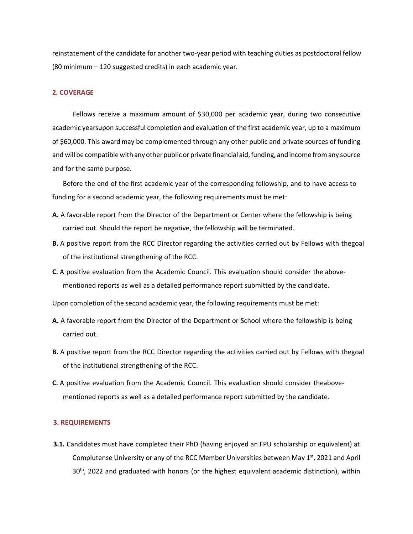reinstatement of the candidate for another two-year period with teaching duties as postdoctoral fellow (80 minimum – 120 suggested credits) in each academic year.

# **2. COVERAGE**

Fellows receive a maximum amount of \$30,000 per academic year, during two consecutive academic yearsupon successful completion and evaluation of the first academic year, up to a maximum of \$60,000. This awardmay be complemented through any other public and private sources of funding and will be compatible with any other public or private financial aid, funding, and income from any source and for the same purpose.

Before the end of the first academic year of the corresponding fellowship, and to have access to funding for a second academic year, the following requirements must be met:

- **A.** A favorable report from the Director of the Department or Center where the fellowship is being carried out. Should the report be negative, the fellowship will be terminated.
- **B.** A positive report from the RCC Director regarding the activities carried out by Fellows with thegoal of the institutional strengthening of the RCC.
- **C.** A positive evaluation from the Academic Council. This evaluation should consider the abovementioned reports as well as a detailed performance report submitted by the candidate.

Upon completion of the second academic year, the following requirements must be met:

- **A.** A favorable report from the Director of the Department or School where the fellowship is being carried out.
- **B.** A positive report from the RCC Director regarding the activities carried out by Fellows with thegoal of the institutional strengthening of the RCC.
- **C.** A positive evaluation from the Academic Council. This evaluation should consider theabovementioned reports as well as a detailed performance report submitted by the candidate.

# **3. REQUIREMENTS**

**3.1.** Candidates must have completed their PhD (having enjoyed an FPU scholarship or equivalent) at Complutense University or any of the RCC Member Universities between May 1<sup>st</sup>, 2021 and April  $30<sup>th</sup>$ , 2022 and graduated with honors (or the highest equivalent academic distinction), within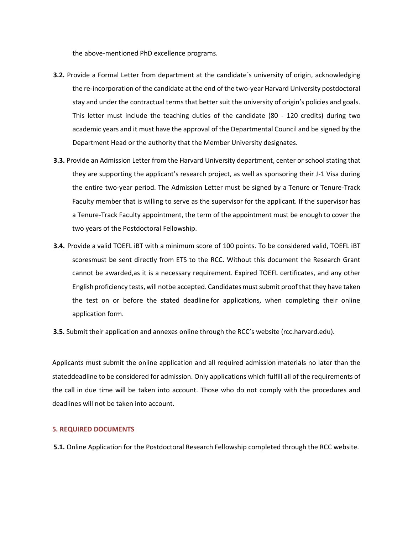the above-mentioned PhD excellence programs.

- **3.2.** Provide a Formal Letter from department at the candidate´s university of origin, acknowledging the re-incorporation of the candidate at the end of the two-year Harvard University postdoctoral stay and under the contractual terms that better suit the university of origin's policies and goals. This letter must include the teaching duties of the candidate (80 - 120 credits) during two academic years and it must have the approval of the Departmental Council and be signed by the Department Head or the authority that the Member University designates.
- **3.3.** Provide an Admission Letter from the Harvard University department, center or school stating that they are supporting the applicant's research project, as well as sponsoring their J-1 Visa during the entire two-year period. The Admission Letter must be signed by a Tenure or Tenure-Track Faculty member that is willing to serve as the supervisor for the applicant. If the supervisor has a Tenure-Track Faculty appointment, the term of the appointment must be enough to cover the two years of the Postdoctoral Fellowship.
- **3.4.** Provide a valid TOEFL iBT with a minimum score of 100 points. To be considered valid, TOEFL iBT scoresmust be sent directly from ETS to the RCC. Without this document the Research Grant cannot be awarded,as it is a necessary requirement. Expired TOEFL certificates, and any other English proficiency tests, will notbe accepted. Candidates must submit proof that they have taken the test on or before the stated deadline for applications, when completing their online application form.
- **3.5.** Submit their application and annexes online through the RCC's website (rcc.harvard.edu).

Applicants must submit the online application and all required admission materials no later than the stateddeadline to be considered for admission. Only applications which fulfill all of the requirements of the call in due time will be taken into account. Those who do not comply with the procedures and deadlines will not be taken into account.

# **5. REQUIRED DOCUMENTS**

**5.1.** Online Application for the Postdoctoral Research Fellowship completed through the RCC website.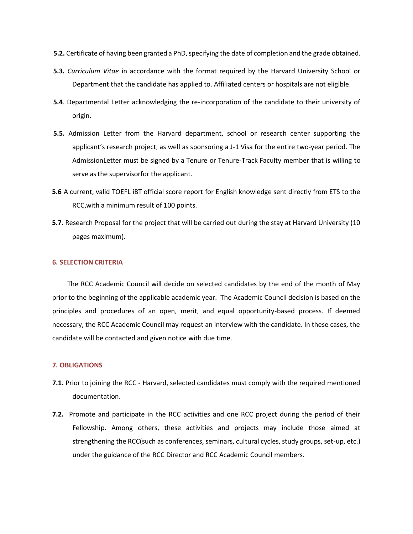- **5.2.** Certificate of having been granted a PhD, specifying the date of completion and the grade obtained.
- **5.3.** *Curriculum Vitae* in accordance with the format required by the Harvard University School or Department that the candidate has applied to. Affiliated centers or hospitals are not eligible.
- **5.4**. Departmental Letter acknowledging the re-incorporation of the candidate to their university of origin.
- **5.5.** Admission Letter from the Harvard department, school or research center supporting the applicant's research project, as well as sponsoring a J-1 Visa for the entire two-year period. The AdmissionLetter must be signed by a Tenure or Tenure-Track Faculty member that is willing to serve as the supervisorfor the applicant.
- **5.6** A current, valid TOEFL iBT official score report for English knowledge sent directly from ETS to the RCC,with a minimum result of 100 points.
- **5.7.** Research Proposal for the project that will be carried out during the stay at Harvard University (10 pages maximum).

# **6. SELECTION CRITERIA**

The RCC Academic Council will decide on selected candidates by the end of the month of May prior to the beginning of the applicable academic year. The Academic Council decision is based on the principles and procedures of an open, merit, and equal opportunity-based process. If deemed necessary, the RCC Academic Council may request an interview with the candidate. In these cases, the candidate will be contacted and given notice with due time.

#### **7. OBLIGATIONS**

- **7.1.** Prior to joining the RCC Harvard, selected candidates must comply with the required mentioned documentation.
- **7.2.** Promote and participate in the RCC activities and one RCC project during the period of their Fellowship. Among others, these activities and projects may include those aimed at strengthening the RCC(such as conferences, seminars, cultural cycles, study groups, set-up, etc.) under the guidance of the RCC Director and RCC Academic Council members.